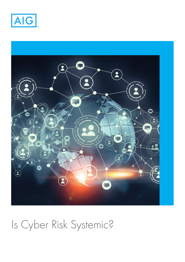



# Is Cyber Risk Systemic?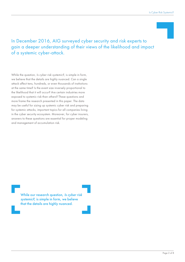## In December 2016, AIG surveyed cyber security and risk experts to gain a deeper understanding of their views of the likelihood and impact of a systemic cyber-attack.

While the question, *Is cyber risk systemic?*, is simple in form, we believe that the details are highly nuanced. Can a single attack affect tens, hundreds, or even thousands of institutions at the same time? Is the event size inversely proportional to the likelihood that it will occur? Are certain industries more exposed to systemic risk than others? These questions and more frame the research presented in this paper. The data may be useful for sizing up systemic cyber risk and preparing for systemic attacks, important topics for all companies living in the cyber security ecosystem. Moreover, for cyber insurers, answers to these questions are essential for proper modeling and management of accumulation risk.

> While our research question, Is cyber risk systemic?, is simple in form, we believe that the details are highly nuanced.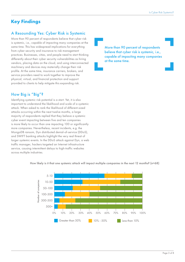# **Key Findings**

## A Resounding Yes: Cyber Risk is Systemic

More than 90 percent of respondents believe that cyber risk is systemic, i.e., capable of impacting many companies at the same time. This has widespread implications for everything from cyber security and insurance to risk management practices. Businesses, cities, and people need to start thinking differently about their cyber security vulnerabilities as hiring vendors, placing data on the cloud, and using interconnected machinery and devices may materially change their risk profile. At the same time, insurance carriers, brokers, and service providers need to work together to improve the physical, virtual, and financial protection and support provided to clients to help mitigate this expanding risk.

## How Big is "Big"?

Identifying systemic risk potential is a start. Yet, it is also important to understand the likelihood and scale of a systemic attack. When asked to rank the likelihood of different-sized attacks occurring within the next twelve months, a large majority of respondents replied that they believe a systemic cyber event impacting between five and ten companies is more likely to occur than one impacting 100 or significantly more companies. Nevertheless, recent incidents, e.g. the MongoDB ransom, Dyn distributed denial-of-service (DDoS), and SWIFT banking attacks highlight the very real threat of larger systemic events. In the DDoS attack against Dyn, a web traffic manager, hackers targeted an Internet infrastructure service, causing intermittent delays to high-traffic websites across multiple industries.

More than 90 percent of respondents believe that cyber risk is systemic, i.e., capable of impacting many companies at the same time.



How likely is it that one systemic attack will impact multiple companies in the next 12 months? (n=68)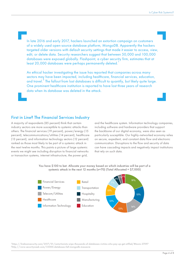In late 2016 and early 2017, hackers launched an extortion campaign on customers of a widely used open-source database platform, MongoDB. Apparently the hackers targeted older versions with default security settings that made it easier to access, view, edit, or delete data. Security researchers suggest that between 50,000 and 100,000 databases were exposed globally. Flashpoint, a cyber security firm, estimates that at least 20,000 databases were perhaps permanently deleted.

An ethical hacker investigating the issue has reported that companies across many sectors may have been impacted, including healthcare, financial services, education, and travel.<sup>2</sup> The fallout from lost databases is difficult to quantify, but likely quite large. One prominent healthcare institution is reported to have lost three years of research data when its database was deleted in the attack.

#### First in Line? The Financial Services Industry

A majority of respondents (85 percent) think that certain industry sectors are more susceptible to systemic attacks than others. The financial services (19 percent), power/energy (15 percent), telecommunications/utilities (14 percent), healthcare (13 percent), and information technology sectors (12 percent) ranked as those most likely to be part of a systemic attack in the next twelve months. This paints a picture of large systemic events we might see including disruption to financial networks or transaction systems, internet infrastructure, the power grid,

and the healthcare system. Information technology companies, including software and hardware providers that support the backbone of our digital economy, were also seen as particularly susceptible. Our highly-networked economy relies on secure, expedient, and constant data flow and electronic communication. Disruptions to the flow and security of data can have cascading impacts and negatively impact institutions that rely on such data.



You have \$100 to bet. Allocate your money based on which industries will be part of a systemic attack in the next 12 months (n=70) (Total Allocated = \$7,000)

1https://krebsonsecurity.com/2017/01/extortionists-wipe-thousands-of-databases-victims-who-pay-up-get-stiffed/#more-37597 2http://www.securityweek.com/33000-databases-fall-mongodb-massacre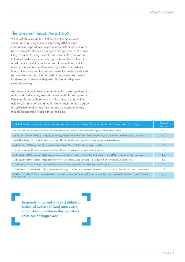#### The Greatest Threat: Mass DDoS

When asked to weigh the likelihood of the most severe scenarios (e.g., single events impacting 500 or more companies) respondents ranked a mass distributed Denial-of-Service (DDoS) attack on a major cloud provider as the most likely cross-sector mega event. This is particularly important in light of brisk cloud computing growth and the proliferation of IoT devices which have been used to launch large DDoS attacks. The scenario ranking also suggested that systemic financial services, healthcare, and retail incidents are viewed as most likely. In data theft or destruction scenarios, flaws in hardware or software widely used by the industry were most concerning.

Attacks on critical infrastructure that could cause significant loss of life and bodily injury ranked lowest on the list of scenarios. Executing large-scale attacks on infrastructure (e.g., utilities, aviation, or transportation) would likely require a high degree of sophistication that may limit the pool of capable actors, though the specter of such a threat remains.

| Rank the following scenarios in order from most to least likely to occur in the next 12 months. Most Likely = 1, Least Likely = 10 (n=66)                         | Average<br>Ranking |
|-------------------------------------------------------------------------------------------------------------------------------------------------------------------|--------------------|
| Financial Services. 15 breached. Mass business interruption. Mass DDoS coordinated against financial institutions.                                                | 4.1                |
| Healthcare. 10 breached (e.g., hospital, pharmacy, insurer). Mass data theft. Flaw in commonly used electronic medical record software.                           | 4.1                |
| Retail/Hospitality. 25 breached. Mass data theft. Flaw in widely used payment processing software/hardware.                                                       | 4.3                |
| Multi-industry. 350 breached. Mass business interruption. Mass DDoS on large cloud provider.                                                                      | 4.5                |
| Financial Services. 15 breached. Mass data theft. Flaw in widely used payment clearing system.                                                                    | 4.7                |
| Multi-industry. 350 breached. Mass business interuption. Flaw in commonly used software (e.g., Plesk, BIND) running on Linux machines.                            | 6.2                |
| Multi-industry. 350 breached. Mass data theft. Flaw in commonly used software (e.g., Plesk, BIND) running on Linux machines.                                      | 6.3                |
| Utility/Power. 35 utilities. Mass business interruption. Flaw in commonly used industrial control system.                                                         | 6.3                |
| Utility/Power. 10 utilities. Mass physical property damage, bodily injury, business interruption. Flaw in commonly used industrial control system.                | 6.8                |
| Aviation. 10 airlines/airports. Mass physical property damage, bodily injury, business interruption. Flaw in control tower and on-board naviga-<br>tion software. | 8.0                |

Respondents ranked a mass distributed Denial-of-Service (DDoS) attack on a major cloud provider as the most likely cross-sector mega event.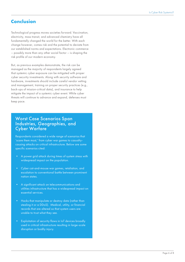## **Conclusion**

Technological progress moves societies forward. Vaccination, electricity, mass transit, and advanced chemistry have all fundamentally changed the world for the better. With each change however, comes risk and the potential to deviate from our established norms and expectations. Electronic commerce – possibly more than any other social factor – is shaping the risk profile of our modern economy.

But, as previous examples demonstrate, the risk can be managed as the majority of respondents largely agreed that systemic cyber exposure can be mitigated with proper cyber security investments. Along with security software and hardware, investments should include careful vendor vetting and management, training on proper security practices (e.g., back-ups of mission-critical data), and insurance to help mitigate the impact of a systemic cyber event. While cyber threats will continue to advance and expand, defenses must keep pace.

## Worst Case Scenarios Span Industries, Geographies, and Cyber Warfare

Respondents considered a wide range of scenarios that 'scare them most,' from cyber war games to casualtycausing attacks on critical infrastructure. Below are some specific scenarios cited:

- A power grid attack during times of system stress with widespread impact on the population.
- Cyber cat-and-mouse war games, retaliation, and escalation to conventional battle between prominent nation states.
- A significant attack on telecommunications and utilities infrastructure that has a widespread impact on essential services.
- Hacks that manipulate or destroy data (rather than stealing it or a DDoS). Medical, utility, or financial records that are altered so that system users are unable to trust what they see.
- Exploitation of security flaws in IoT devices broadly used in critical infrastructure resulting in large-scale disruption or bodily injury.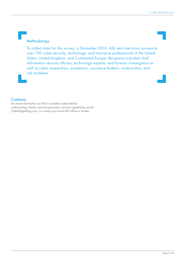#### Methodology

To collect data for this survey, in December 2016, AIG sent electronic surveys to over 100 cyber security, technology, and insurance professionals in the United States, United Kingdom, and Continental Europe. Recipients included chief information security officers, technology experts, and forensic investigators as well as cyber researchers, academics, insurance brokers, underwriters, and risk modelers.

#### **Contacts**

For more information on AIG's available cyber liability underwriting, claims, and loss prevention service capabilities, email CyberEdge@aig.com, or contact your local AIG office or broker.